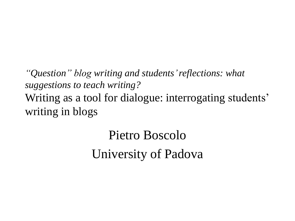*"Question" blog writing and students' reflections: what suggestions to teach writing?* Writing as a tool for dialogue: interrogating students' writing in blogs

> Pietro Boscolo University of Padova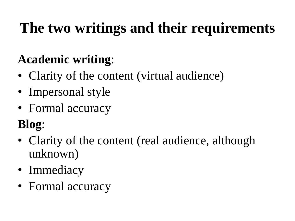# **The two writings and their requirements**

## **Academic writing**:

- Clarity of the content (virtual audience)
- Impersonal style
- Formal accuracy

### **Blog**:

- Clarity of the content (real audience, although unknown)
- Immediacy
- Formal accuracy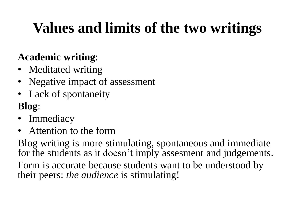# **Values and limits of the two writings**

#### **Academic writing**:

- Meditated writing
- Negative impact of assessment
- Lack of spontaneity

### **Blog**:

- Immediacy
- Attention to the form

Blog writing is more stimulating, spontaneous and immediate for the students as it doesn't imply assesment and judgements. Form is accurate because students want to be understood by

their peers: *the audience* is stimulating!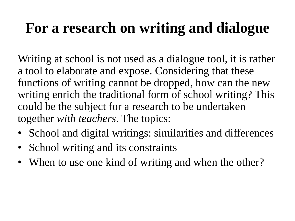## **For a research on writing and dialogue**

Writing at school is not used as a dialogue tool, it is rather a tool to elaborate and expose. Considering that these functions of writing cannot be dropped, how can the new writing enrich the traditional form of school writing? This could be the subject for a research to be undertaken together *with teachers*. The topics:

- School and digital writings: similarities and differences
- School writing and its constraints
- When to use one kind of writing and when the other?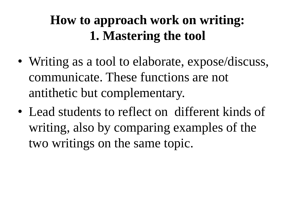### **How to approach work on writing: 1. Mastering the tool**

- Writing as a tool to elaborate, expose/discuss, communicate. These functions are not antithetic but complementary.
- Lead students to reflect on different kinds of writing, also by comparing examples of the two writings on the same topic.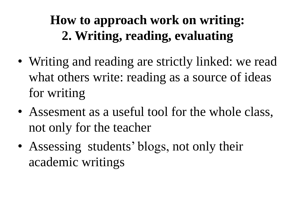### **How to approach work on writing: 2. Writing, reading, evaluating**

- Writing and reading are strictly linked: we read what others write: reading as a source of ideas for writing
- Assesment as a useful tool for the whole class, not only for the teacher
- Assessing students' blogs, not only their academic writings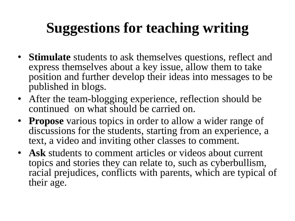# **Suggestions for teaching writing**

- **Stimulate** students to ask themselves questions, reflect and express themselves about a key issue, allow them to take position and further develop their ideas into messages to be published in blogs.
- After the team-blogging experience, reflection should be continued on what should be carried on.
- **Propose** various topics in order to allow a wider range of discussions for the students, starting from an experience, a text, a video and inviting other classes to comment.
- **Ask** students to comment articles or videos about current topics and stories they can relate to, such as cyberbullism, racial prejudices, conflicts with parents, which are typical of their age.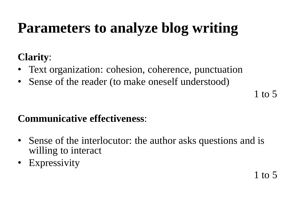## **Parameters to analyze blog writing**

#### **Clarity**:

- Text organization: cohesion, coherence, punctuation
- Sense of the reader (to make oneself understood)

1 to 5

#### **Communicative effectiveness**:

- Sense of the interlocutor: the author asks questions and is willing to interact
- Expressivity

1 to 5